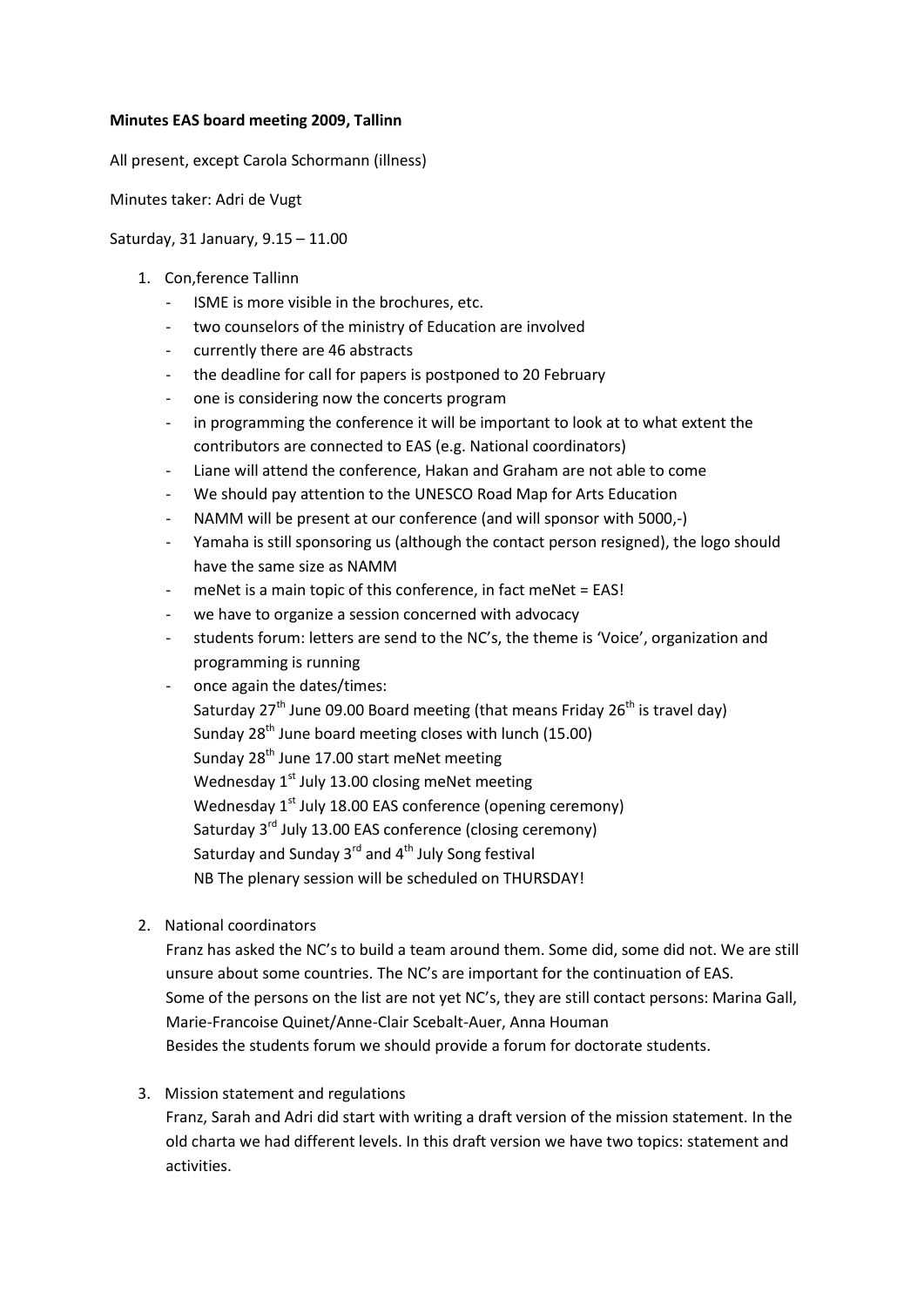#### **Minutes EAS board meeting 2009, Tallinn**

All present, except Carola Schormann (illness)

Minutes taker: Adri de Vugt

#### Saturday, 31 January, 9.15 – 11.00

- 1. Con,ference Tallinn
	- ISME is more visible in the brochures, etc.
	- two counselors of the ministry of Education are involved
	- currently there are 46 abstracts
	- the deadline for call for papers is postponed to 20 February
	- one is considering now the concerts program
	- in programming the conference it will be important to look at to what extent the contributors are connected to EAS (e.g. National coordinators)
	- Liane will attend the conference, Hakan and Graham are not able to come
	- We should pay attention to the UNESCO Road Map for Arts Education
	- NAMM will be present at our conference (and will sponsor with 5000,-)
	- Yamaha is still sponsoring us (although the contact person resigned), the logo should have the same size as NAMM
	- meNet is a main topic of this conference, in fact meNet = EAS!
	- we have to organize a session concerned with advocacy
	- students forum: letters are send to the NC's, the theme is 'Voice', organization and programming is running
	- once again the dates/times:

Saturday  $27<sup>th</sup>$  June 09.00 Board meeting (that means Friday  $26<sup>th</sup>$  is travel day) Sunday 28<sup>th</sup> June board meeting closes with lunch (15.00) Sunday 28<sup>th</sup> June 17.00 start meNet meeting Wednesday  $1<sup>st</sup>$  July 13.00 closing meNet meeting Wednesday 1<sup>st</sup> July 18.00 EAS conference (opening ceremony) Saturday 3<sup>rd</sup> July 13.00 EAS conference (closing ceremony) Saturday and Sunday  $3^{rd}$  and  $4^{th}$  July Song festival NB The plenary session will be scheduled on THURSDAY!

2. National coordinators

Franz has asked the NC's to build a team around them. Some did, some did not. We are still unsure about some countries. The NC's are important for the continuation of EAS. Some of the persons on the list are not yet NC's, they are still contact persons: Marina Gall, Marie-Francoise Quinet/Anne-Clair Scebalt-Auer, Anna Houman Besides the students forum we should provide a forum for doctorate students.

3. Mission statement and regulations

Franz, Sarah and Adri did start with writing a draft version of the mission statement. In the old charta we had different levels. In this draft version we have two topics: statement and activities.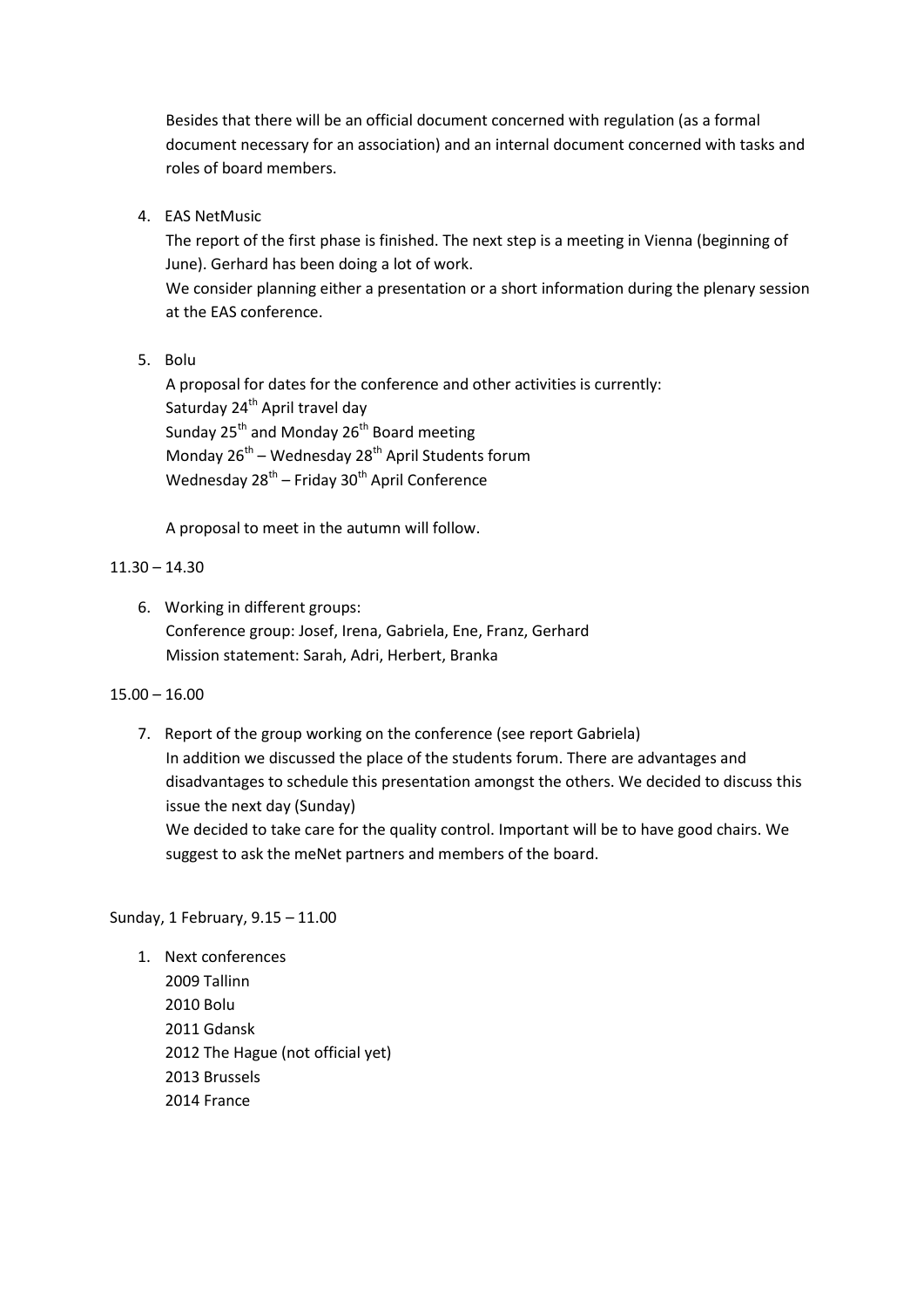Besides that there will be an official document concerned with regulation (as a formal document necessary for an association) and an internal document concerned with tasks and roles of board members.

4. EAS NetMusic

The report of the first phase is finished. The next step is a meeting in Vienna (beginning of June). Gerhard has been doing a lot of work. We consider planning either a presentation or a short information during the plenary session at the EAS conference.

5. Bolu

A proposal for dates for the conference and other activities is currently: Saturday 24<sup>th</sup> April travel day Sunday 25<sup>th</sup> and Monday 26<sup>th</sup> Board meeting Monday 26<sup>th</sup> – Wednesday 28<sup>th</sup> April Students forum Wednesday 28<sup>th</sup> – Friday 30<sup>th</sup> April Conference

A proposal to meet in the autumn will follow.

## $11.30 - 14.30$

6. Working in different groups: Conference group: Josef, Irena, Gabriela, Ene, Franz, Gerhard Mission statement: Sarah, Adri, Herbert, Branka

# 15.00 – 16.00

7. Report of the group working on the conference (see report Gabriela) In addition we discussed the place of the students forum. There are advantages and disadvantages to schedule this presentation amongst the others. We decided to discuss this issue the next day (Sunday) We decided to take care for the quality control. Important will be to have good chairs. We suggest to ask the meNet partners and members of the board.

#### Sunday, 1 February, 9.15 – 11.00

1. Next conferences 2009 Tallinn 2010 Bolu 2011 Gdansk 2012 The Hague (not official yet) 2013 Brussels 2014 France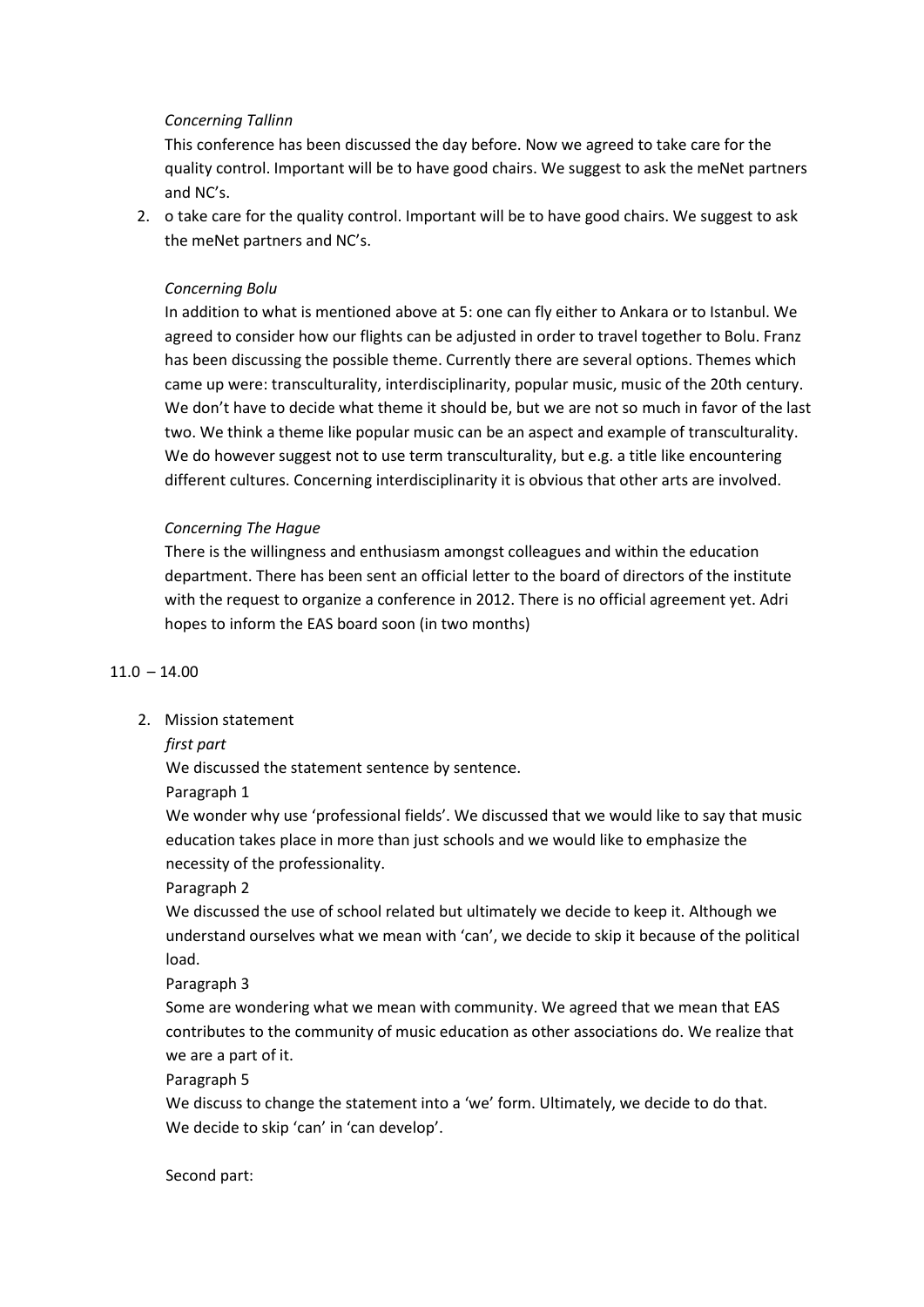## *Concerning Tallinn*

This conference has been discussed the day before. Now we agreed to take care for the quality control. Important will be to have good chairs. We suggest to ask the meNet partners and NC's.

2. o take care for the quality control. Important will be to have good chairs. We suggest to ask the meNet partners and NC's.

## *Concerning Bolu*

In addition to what is mentioned above at 5: one can fly either to Ankara or to Istanbul. We agreed to consider how our flights can be adjusted in order to travel together to Bolu. Franz has been discussing the possible theme. Currently there are several options. Themes which came up were: transculturality, interdisciplinarity, popular music, music of the 20th century. We don't have to decide what theme it should be, but we are not so much in favor of the last two. We think a theme like popular music can be an aspect and example of transculturality. We do however suggest not to use term transculturality, but e.g. a title like encountering different cultures. Concerning interdisciplinarity it is obvious that other arts are involved.

#### *Concerning The Hague*

There is the willingness and enthusiasm amongst colleagues and within the education department. There has been sent an official letter to the board of directors of the institute with the request to organize a conference in 2012. There is no official agreement yet. Adri hopes to inform the EAS board soon (in two months)

#### $11.0 - 14.00$

2. Mission statement

*first part*

We discussed the statement sentence by sentence.

Paragraph 1

We wonder why use 'professional fields'. We discussed that we would like to say that music education takes place in more than just schools and we would like to emphasize the necessity of the professionality.

#### Paragraph 2

We discussed the use of school related but ultimately we decide to keep it. Although we understand ourselves what we mean with 'can', we decide to skip it because of the political load.

Paragraph 3

Some are wondering what we mean with community. We agreed that we mean that EAS contributes to the community of music education as other associations do. We realize that we are a part of it.

Paragraph 5

We discuss to change the statement into a 'we' form. Ultimately, we decide to do that. We decide to skip 'can' in 'can develop'.

#### Second part: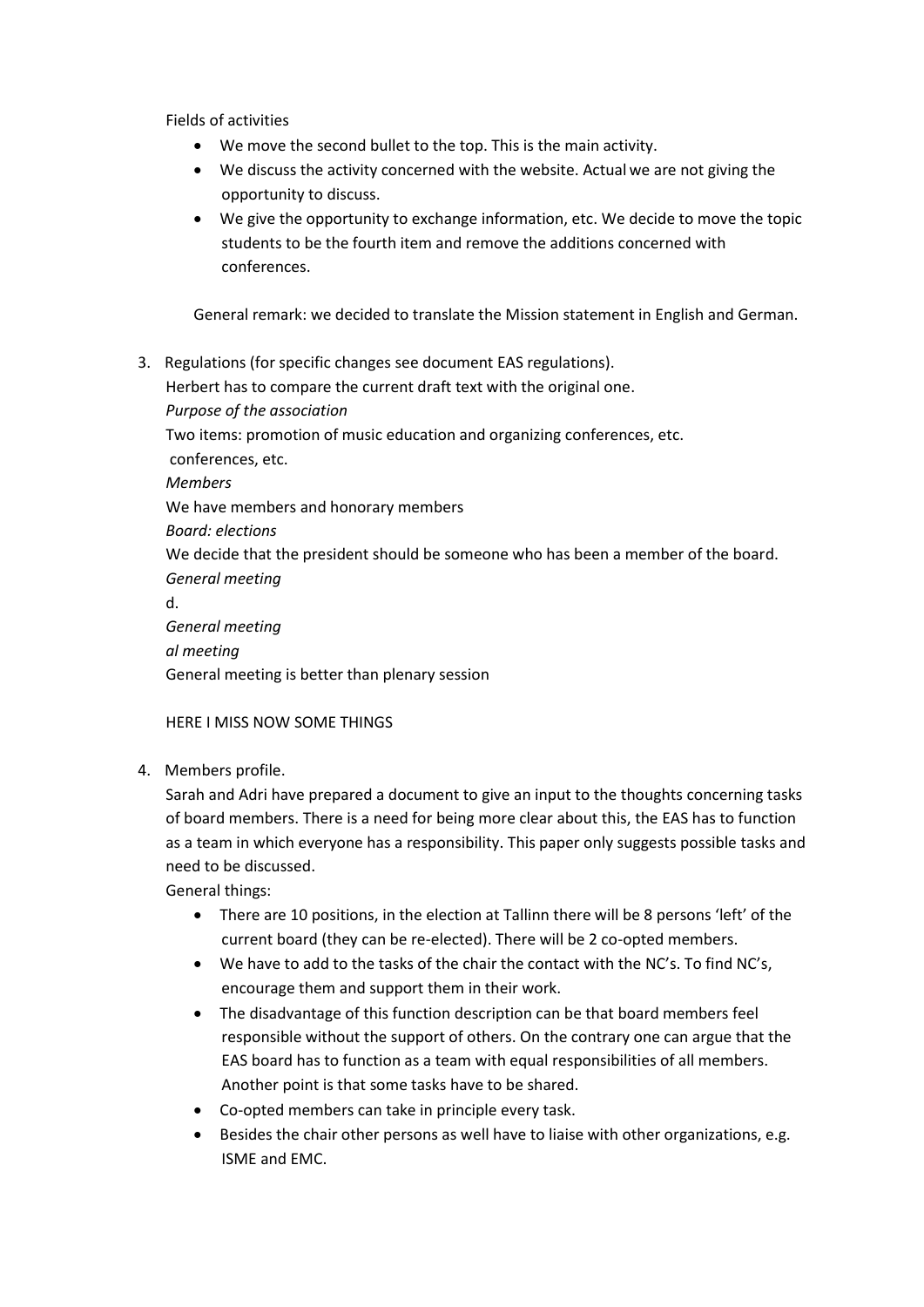Fields of activities

- We move the second bullet to the top. This is the main activity.
- We discuss the activity concerned with the website. Actual we are not giving the opportunity to discuss.
- We give the opportunity to exchange information, etc. We decide to move the topic students to be the fourth item and remove the additions concerned with conferences.

General remark: we decided to translate the Mission statement in English and German.

3. Regulations (for specific changes see document EAS regulations). Herbert has to compare the current draft text with the original one. *Purpose of the association* Two items: promotion of music education and organizing conferences, etc. conferences, etc. *Members*  We have members and honorary members *Board: elections* We decide that the president should be someone who has been a member of the board. *General meeting* d. *General meeting al meeting* General meeting is better than plenary session

# HERE I MISS NOW SOME THINGS

4. Members profile.

Sarah and Adri have prepared a document to give an input to the thoughts concerning tasks of board members. There is a need for being more clear about this, the EAS has to function as a team in which everyone has a responsibility. This paper only suggests possible tasks and need to be discussed.

General things:

- There are 10 positions, in the election at Tallinn there will be 8 persons 'left' of the current board (they can be re-elected). There will be 2 co-opted members.
- We have to add to the tasks of the chair the contact with the NC's. To find NC's, encourage them and support them in their work.
- The disadvantage of this function description can be that board members feel responsible without the support of others. On the contrary one can argue that the EAS board has to function as a team with equal responsibilities of all members. Another point is that some tasks have to be shared.
- Co-opted members can take in principle every task.
- **Besides the chair other persons as well have to liaise with other organizations, e.g.** ISME and EMC.